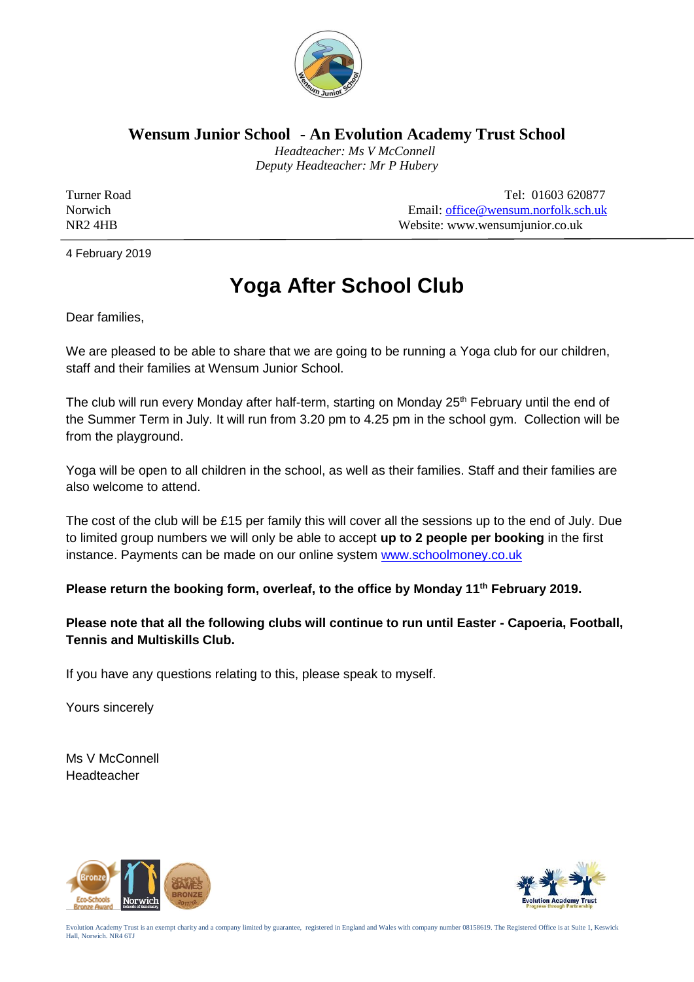

**Wensum Junior School - An Evolution Academy Trust School**

 *Headteacher: Ms V McConnell Deputy Headteacher: Mr P Hubery*

Turner Road Tel: 01603 620877 Norwich Email: <u>office@wensum.norfolk.sch.uk</u><br>NR2 4HB Website: www.wensumiunior.co.uk Website: www.wensumjunior.co.uk

4 February 2019

## **Yoga After School Club**

Dear families,

We are pleased to be able to share that we are going to be running a Yoga club for our children, staff and their families at Wensum Junior School.

The club will run every Monday after half-term, starting on Monday 25<sup>th</sup> February until the end of the Summer Term in July. It will run from 3.20 pm to 4.25 pm in the school gym. Collection will be from the playground.

Yoga will be open to all children in the school, as well as their families. Staff and their families are also welcome to attend.

The cost of the club will be £15 per family this will cover all the sessions up to the end of July. Due to limited group numbers we will only be able to accept **up to 2 people per booking** in the first instance. Payments can be made on our online system [www.schoolmoney.co.uk](http://www.schoolmoney.co.uk/)

**Please return the booking form, overleaf, to the office by Monday 11th February 2019.**

**Please note that all the following clubs will continue to run until Easter - Capoeria, Football, Tennis and Multiskills Club.**

If you have any questions relating to this, please speak to myself.

Yours sincerely

Ms V McConnell Headteacher